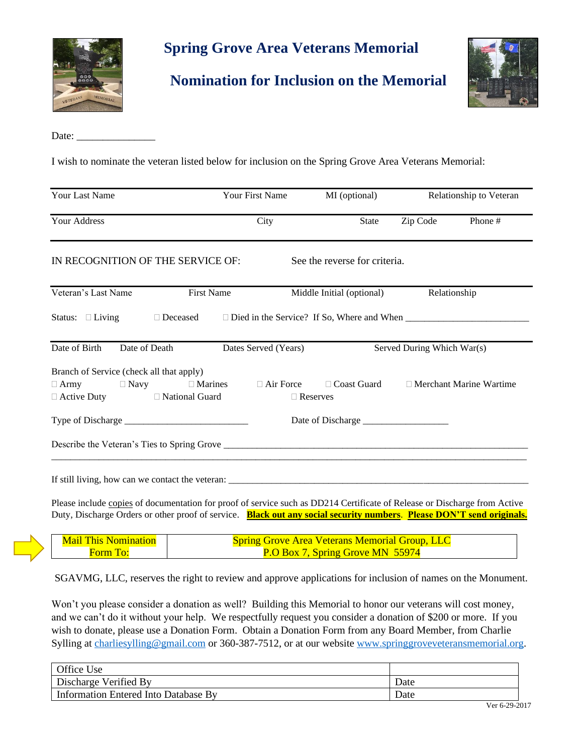

## **Spring Grove Area Veterans Memorial**

**Nomination for Inclusion on the Memorial**



Date:

I wish to nominate the veteran listed below for inclusion on the Spring Grove Area Veterans Memorial:

| <b>Your Last Name</b>                                                                                                          | Your First Name                                                                  | MI (optional)                                          | Relationship to Veteran |                                |
|--------------------------------------------------------------------------------------------------------------------------------|----------------------------------------------------------------------------------|--------------------------------------------------------|-------------------------|--------------------------------|
| <b>Your Address</b>                                                                                                            | City                                                                             | <b>State</b>                                           | Zip Code                | Phone#                         |
| IN RECOGNITION OF THE SERVICE OF:                                                                                              |                                                                                  | See the reverse for criteria.                          |                         |                                |
| Veteran's Last Name<br><b>First Name</b>                                                                                       |                                                                                  | Middle Initial (optional)                              | Relationship            |                                |
| Status: $\Box$ Living                                                                                                          | □ Deceased □ Died in the Service? If So, Where and When ________________________ |                                                        |                         |                                |
| Date of Birth<br>Date of Death                                                                                                 | Dates Served (Years)                                                             | Served During Which War(s)                             |                         |                                |
| Branch of Service (check all that apply)<br>$\Box$ Army $\Box$ Navy $\Box$ Marines<br>$\Box$ Active Duty $\Box$ National Guard |                                                                                  | $\Box$ Air Force $\Box$ Coast Guard<br>$\Box$ Reserves |                         | $\Box$ Merchant Marine Wartime |
|                                                                                                                                |                                                                                  |                                                        |                         |                                |
|                                                                                                                                |                                                                                  |                                                        |                         |                                |
|                                                                                                                                |                                                                                  |                                                        |                         |                                |

Please include copies of documentation for proof of service such as DD214 Certificate of Release or Discharge from Active Duty, Discharge Orders or other proof of service. **Black out any social security numbers**. **Please DON'T send originals.**

| <b>Mail This Nomination</b> | <b>Spring Grove Area Veterans Memorial Group, LLC</b> |
|-----------------------------|-------------------------------------------------------|
| Horm Tot                    | <b>P.O Box 7, Spring Grove MN 55974</b>               |

SGAVMG, LLC, reserves the right to review and approve applications for inclusion of names on the Monument.

Won't you please consider a donation as well? Building this Memorial to honor our veterans will cost money, and we can't do it without your help. We respectfully request you consider a donation of \$200 or more. If you wish to donate, please use a Donation Form. Obtain a Donation Form from any Board Member, from Charlie Sylling at [charliesylling@gmail.com](mailto:charliesylling@gmail.com) or 360-387-7512, or at our website [www.springgroveveteransmemorial.org.](http://www.springgroveveteransmemorial.org/)

| <b>Office Use</b>                    |      |
|--------------------------------------|------|
| Discharge Verified By                | Date |
| Information Entered Into Database By | Date |